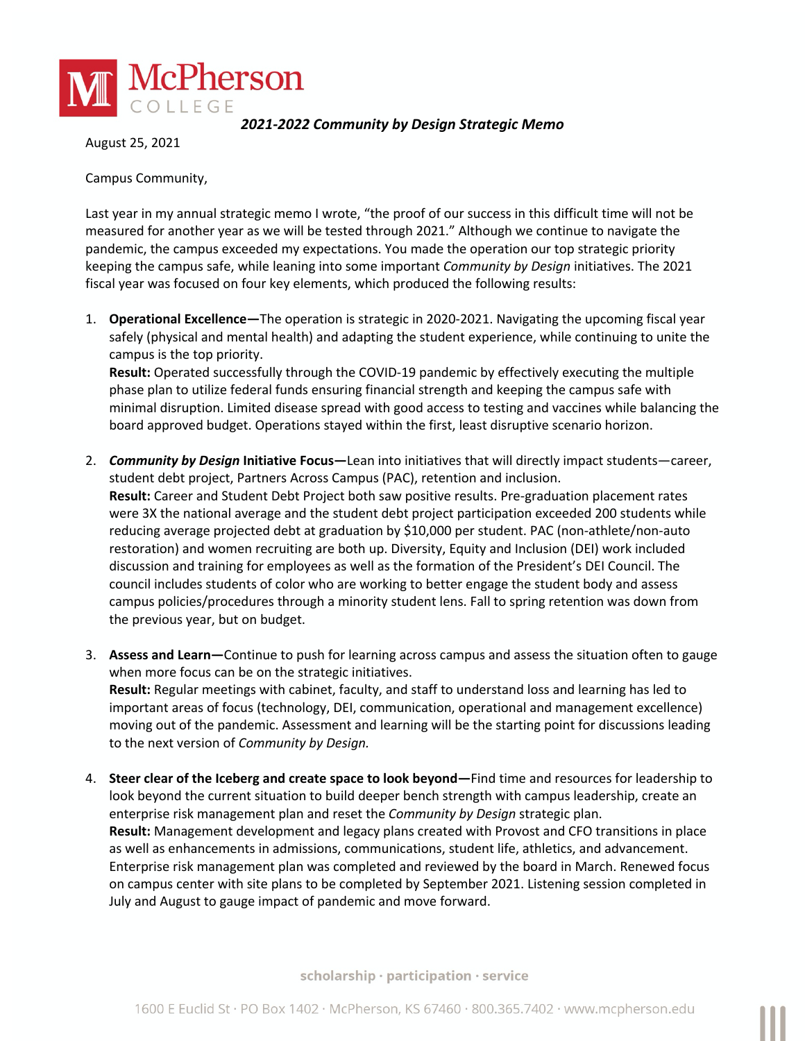

*2021-2022 Community by Design Strategic Memo*

August 25, 2021

Campus Community,

Last year in my annual strategic memo I wrote, "the proof of our success in this difficult time will not be measured for another year as we will be tested through 2021." Although we continue to navigate the pandemic, the campus exceeded my expectations. You made the operation our top strategic priority keeping the campus safe, while leaning into some important *Community by Design* initiatives. The 2021 fiscal year was focused on four key elements, which produced the following results:

1. **Operational Excellence—**The operation is strategic in 2020-2021. Navigating the upcoming fiscal year safely (physical and mental health) and adapting the student experience, while continuing to unite the campus is the top priority.

**Result:** Operated successfully through the COVID-19 pandemic by effectively executing the multiple phase plan to utilize federal funds ensuring financial strength and keeping the campus safe with minimal disruption. Limited disease spread with good access to testing and vaccines while balancing the board approved budget. Operations stayed within the first, least disruptive scenario horizon.

- 2. *Community by Design* **Initiative Focus—**Lean into initiatives that will directly impact students—career, student debt project, Partners Across Campus (PAC), retention and inclusion. **Result:** Career and Student Debt Project both saw positive results. Pre-graduation placement rates were 3X the national average and the student debt project participation exceeded 200 students while reducing average projected debt at graduation by \$10,000 per student. PAC (non-athlete/non-auto restoration) and women recruiting are both up. Diversity, Equity and Inclusion (DEI) work included discussion and training for employees as well as the formation of the President's DEI Council. The council includes students of color who are working to better engage the student body and assess campus policies/procedures through a minority student lens. Fall to spring retention was down from the previous year, but on budget.
- 3. **Assess and Learn—**Continue to push for learning across campus and assess the situation often to gauge when more focus can be on the strategic initiatives. **Result:** Regular meetings with cabinet, faculty, and staff to understand loss and learning has led to important areas of focus (technology, DEI, communication, operational and management excellence) moving out of the pandemic. Assessment and learning will be the starting point for discussions leading to the next version of *Community by Design.*
- 4. **Steer clear of the Iceberg and create space to look beyond—**Find time and resources for leadership to look beyond the current situation to build deeper bench strength with campus leadership, create an enterprise risk management plan and reset the *Community by Design* strategic plan. **Result:** Management development and legacy plans created with Provost and CFO transitions in place as well as enhancements in admissions, communications, student life, athletics, and advancement. Enterprise risk management plan was completed and reviewed by the board in March. Renewed focus on campus center with site plans to be completed by September 2021. Listening session completed in July and August to gauge impact of pandemic and move forward.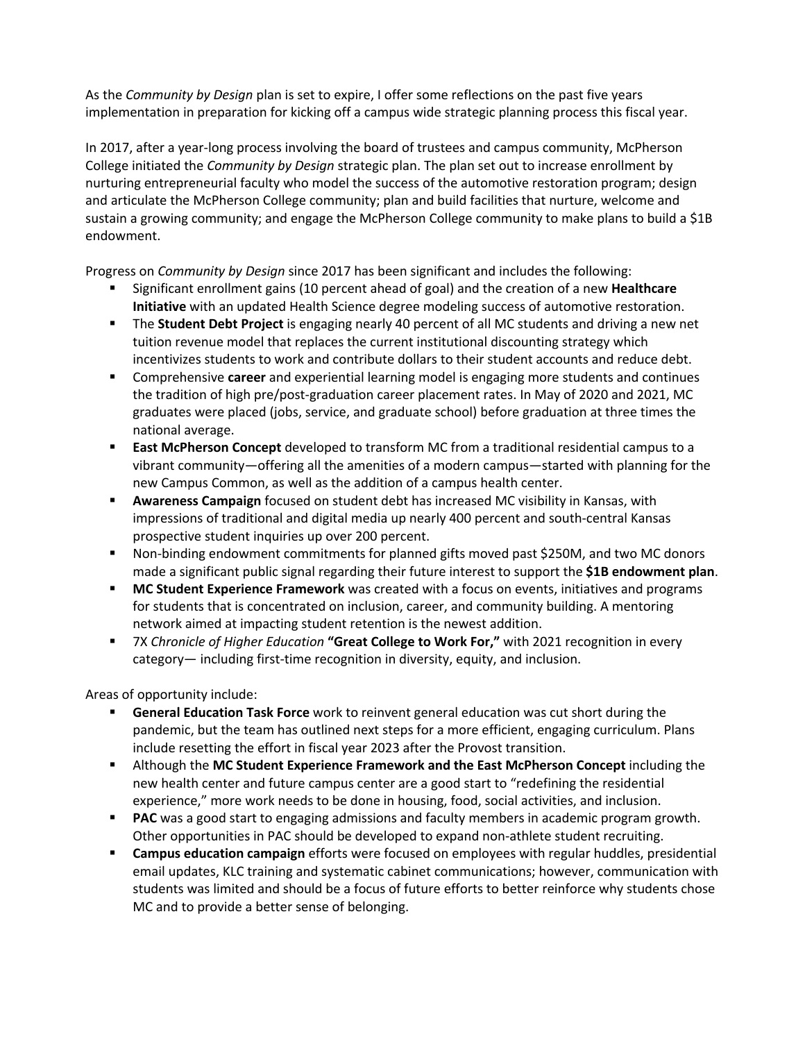As the *Community by Design* plan is set to expire, I offer some reflections on the past five years implementation in preparation for kicking off a campus wide strategic planning process this fiscal year.

In 2017, after a year-long process involving the board of trustees and campus community, McPherson College initiated the *Community by Design* strategic plan. The plan set out to increase enrollment by nurturing entrepreneurial faculty who model the success of the automotive restoration program; design and articulate the McPherson College community; plan and build facilities that nurture, welcome and sustain a growing community; and engage the McPherson College community to make plans to build a \$1B endowment.

Progress on *Community by Design* since 2017 has been significant and includes the following:

- § Significant enrollment gains (10 percent ahead of goal) and the creation of a new **Healthcare Initiative** with an updated Health Science degree modeling success of automotive restoration.
- § The **Student Debt Project** is engaging nearly 40 percent of all MC students and driving a new net tuition revenue model that replaces the current institutional discounting strategy which incentivizes students to work and contribute dollars to their student accounts and reduce debt.
- § Comprehensive **career** and experiential learning model is engaging more students and continues the tradition of high pre/post-graduation career placement rates. In May of 2020 and 2021, MC graduates were placed (jobs, service, and graduate school) before graduation at three times the national average.
- **East McPherson Concept** developed to transform MC from a traditional residential campus to a vibrant community—offering all the amenities of a modern campus—started with planning for the new Campus Common, as well as the addition of a campus health center.
- § **Awareness Campaign** focused on student debt has increased MC visibility in Kansas, with impressions of traditional and digital media up nearly 400 percent and south-central Kansas prospective student inquiries up over 200 percent.
- Non-binding endowment commitments for planned gifts moved past \$250M, and two MC donors made a significant public signal regarding their future interest to support the **\$1B endowment plan**.
- **MC Student Experience Framework** was created with a focus on events, initiatives and programs for students that is concentrated on inclusion, career, and community building. A mentoring network aimed at impacting student retention is the newest addition.
- 7X Chronicle of Higher Education "Great College to Work For," with 2021 recognition in every category— including first-time recognition in diversity, equity, and inclusion.

Areas of opportunity include:

- **General Education Task Force** work to reinvent general education was cut short during the pandemic, but the team has outlined next steps for a more efficient, engaging curriculum. Plans include resetting the effort in fiscal year 2023 after the Provost transition.
- § Although the **MC Student Experience Framework and the East McPherson Concept** including the new health center and future campus center are a good start to "redefining the residential experience," more work needs to be done in housing, food, social activities, and inclusion.
- **PAC** was a good start to engaging admissions and faculty members in academic program growth. Other opportunities in PAC should be developed to expand non-athlete student recruiting.
- **Exampus education campaign** efforts were focused on employees with regular huddles, presidential email updates, KLC training and systematic cabinet communications; however, communication with students was limited and should be a focus of future efforts to better reinforce why students chose MC and to provide a better sense of belonging.